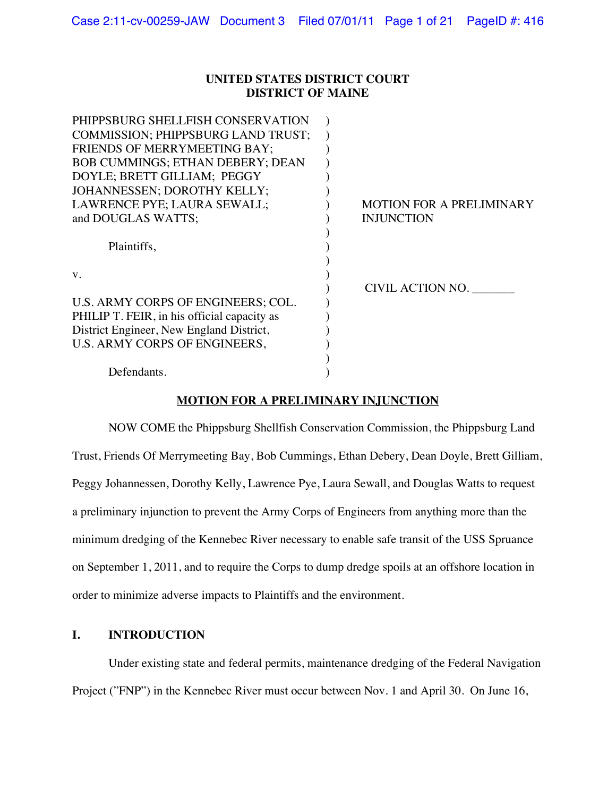### **UNITED STATES DISTRICT COURT DISTRICT OF MAINE**

| PHIPPSBURG SHELLFISH CONSERVATION           |                                 |
|---------------------------------------------|---------------------------------|
| <b>COMMISSION: PHIPPSBURG LAND TRUST:</b>   |                                 |
| FRIENDS OF MERRYMEETING BAY;                |                                 |
| <b>BOB CUMMINGS; ETHAN DEBERY; DEAN</b>     |                                 |
| DOYLE; BRETT GILLIAM; PEGGY                 |                                 |
| JOHANNESSEN; DOROTHY KELLY;                 |                                 |
| LAWRENCE PYE; LAURA SEWALL;                 | <b>MOTION FOR A PRELIMINARY</b> |
| and DOUGLAS WATTS;                          | <b>INJUNCTION</b>               |
|                                             |                                 |
| Plaintiffs,                                 |                                 |
|                                             |                                 |
| V.                                          |                                 |
|                                             | CIVIL ACTION NO.                |
| U.S. ARMY CORPS OF ENGINEERS; COL.          |                                 |
| PHILIP T. FEIR, in his official capacity as |                                 |
| District Engineer, New England District,    |                                 |
| U.S. ARMY CORPS OF ENGINEERS,               |                                 |
|                                             |                                 |
| Defendants.                                 |                                 |
|                                             |                                 |

# **MOTION FOR A PRELIMINARY INJUNCTION**

NOW COME the Phippsburg Shellfish Conservation Commission, the Phippsburg Land Trust, Friends Of Merrymeeting Bay, Bob Cummings, Ethan Debery, Dean Doyle, Brett Gilliam, Peggy Johannessen, Dorothy Kelly, Lawrence Pye, Laura Sewall, and Douglas Watts to request a preliminary injunction to prevent the Army Corps of Engineers from anything more than the minimum dredging of the Kennebec River necessary to enable safe transit of the USS Spruance on September 1, 2011, and to require the Corps to dump dredge spoils at an offshore location in order to minimize adverse impacts to Plaintiffs and the environment.

# **I. INTRODUCTION**

Under existing state and federal permits, maintenance dredging of the Federal Navigation Project ("FNP") in the Kennebec River must occur between Nov. 1 and April 30. On June 16,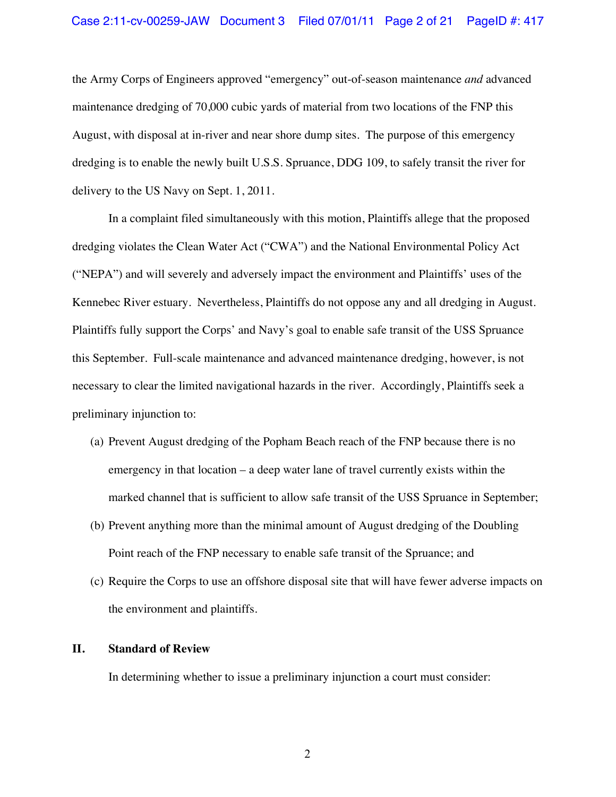#### Case 2:11-cv-00259-JAW Document 3 Filed 07/01/11 Page 2 of 21 PageID #: 417

the Army Corps of Engineers approved "emergency" out-of-season maintenance *and* advanced maintenance dredging of 70,000 cubic yards of material from two locations of the FNP this August, with disposal at in-river and near shore dump sites. The purpose of this emergency dredging is to enable the newly built U.S.S. Spruance, DDG 109, to safely transit the river for delivery to the US Navy on Sept. 1, 2011.

In a complaint filed simultaneously with this motion, Plaintiffs allege that the proposed dredging violates the Clean Water Act ("CWA") and the National Environmental Policy Act ("NEPA") and will severely and adversely impact the environment and Plaintiffs' uses of the Kennebec River estuary. Nevertheless, Plaintiffs do not oppose any and all dredging in August. Plaintiffs fully support the Corps' and Navy's goal to enable safe transit of the USS Spruance this September. Full-scale maintenance and advanced maintenance dredging, however, is not necessary to clear the limited navigational hazards in the river. Accordingly, Plaintiffs seek a preliminary injunction to:

- (a) Prevent August dredging of the Popham Beach reach of the FNP because there is no emergency in that location – a deep water lane of travel currently exists within the marked channel that is sufficient to allow safe transit of the USS Spruance in September;
- (b) Prevent anything more than the minimal amount of August dredging of the Doubling Point reach of the FNP necessary to enable safe transit of the Spruance; and
- (c) Require the Corps to use an offshore disposal site that will have fewer adverse impacts on the environment and plaintiffs.

### **II. Standard of Review**

In determining whether to issue a preliminary injunction a court must consider: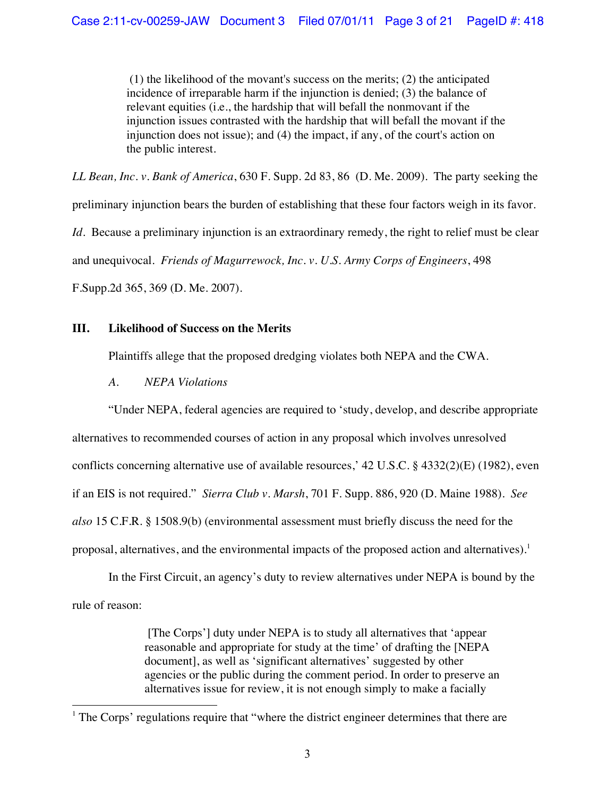(1) the likelihood of the movant's success on the merits; (2) the anticipated incidence of irreparable harm if the injunction is denied; (3) the balance of relevant equities (i.e., the hardship that will befall the nonmovant if the injunction issues contrasted with the hardship that will befall the movant if the injunction does not issue); and (4) the impact, if any, of the court's action on the public interest.

*LL Bean, Inc. v. Bank of America*, 630 F. Supp. 2d 83, 86 (D. Me. 2009). The party seeking the preliminary injunction bears the burden of establishing that these four factors weigh in its favor. *Id*. Because a preliminary injunction is an extraordinary remedy, the right to relief must be clear and unequivocal. *Friends of Magurrewock, Inc. v. U.S. Army Corps of Engineers*, 498 F.Supp.2d 365, 369 (D. Me. 2007).

# **III. Likelihood of Success on the Merits**

Plaintiffs allege that the proposed dredging violates both NEPA and the CWA.

*A. NEPA Violations*

"Under NEPA, federal agencies are required to 'study, develop, and describe appropriate alternatives to recommended courses of action in any proposal which involves unresolved conflicts concerning alternative use of available resources,' 42 U.S.C. § 4332(2)(E) (1982), even if an EIS is not required." *Sierra Club v. Marsh*, 701 F. Supp. 886, 920 (D. Maine 1988). *See also* 15 C.F.R. § 1508.9(b) (environmental assessment must briefly discuss the need for the proposal, alternatives, and the environmental impacts of the proposed action and alternatives).<sup>1</sup>

In the First Circuit, an agency's duty to review alternatives under NEPA is bound by the rule of reason:

> [The Corps'] duty under NEPA is to study all alternatives that 'appear reasonable and appropriate for study at the time' of drafting the [NEPA document], as well as 'significant alternatives' suggested by other agencies or the public during the comment period. In order to preserve an alternatives issue for review, it is not enough simply to make a facially

<sup>!!!!!!!!!!!!!!!!!!!!!!!!!!!!!!!!!!!!!!!!!!!!!!!!!!!!!!!</sup> <sup>1</sup> The Corps' regulations require that "where the district engineer determines that there are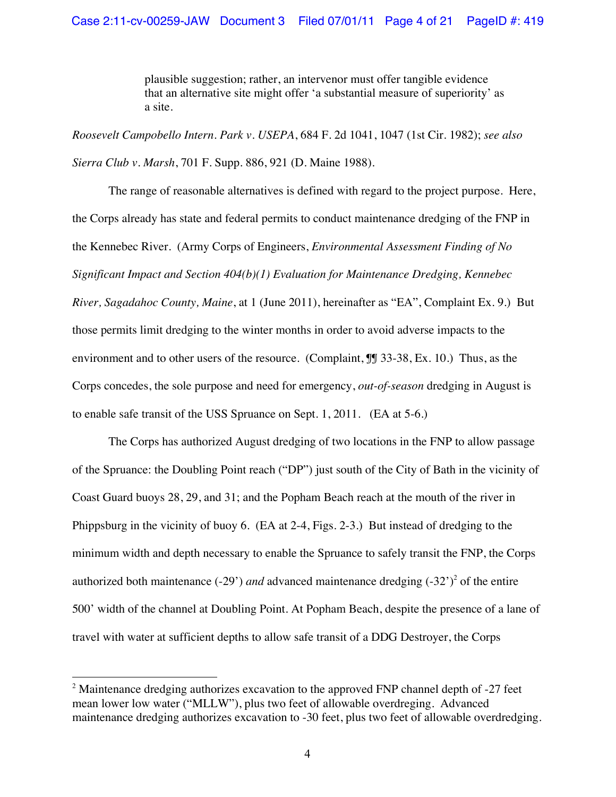plausible suggestion; rather, an intervenor must offer tangible evidence that an alternative site might offer 'a substantial measure of superiority' as a site.

*Roosevelt Campobello Intern. Park v. USEPA*, 684 F. 2d 1041, 1047 (1st Cir. 1982); *see also Sierra Club v. Marsh*, 701 F. Supp. 886, 921 (D. Maine 1988).

The range of reasonable alternatives is defined with regard to the project purpose. Here, the Corps already has state and federal permits to conduct maintenance dredging of the FNP in the Kennebec River. (Army Corps of Engineers, *Environmental Assessment Finding of No Significant Impact and Section 404(b)(1) Evaluation for Maintenance Dredging, Kennebec River, Sagadahoc County, Maine*, at 1 (June 2011), hereinafter as "EA", Complaint Ex. 9.) But those permits limit dredging to the winter months in order to avoid adverse impacts to the environment and to other users of the resource. (Complaint,  $\int \int 33-38$ , Ex. 10.) Thus, as the Corps concedes, the sole purpose and need for emergency, *out-of-season* dredging in August is to enable safe transit of the USS Spruance on Sept. 1, 2011. (EA at 5-6.)

The Corps has authorized August dredging of two locations in the FNP to allow passage of the Spruance: the Doubling Point reach ("DP") just south of the City of Bath in the vicinity of Coast Guard buoys 28, 29, and 31; and the Popham Beach reach at the mouth of the river in Phippsburg in the vicinity of buoy 6. (EA at 2-4, Figs. 2-3.) But instead of dredging to the minimum width and depth necessary to enable the Spruance to safely transit the FNP, the Corps authorized both maintenance  $(-29')$  *and* advanced maintenance dredging  $(-32')^2$  of the entire 500' width of the channel at Doubling Point. At Popham Beach, despite the presence of a lane of travel with water at sufficient depths to allow safe transit of a DDG Destroyer, the Corps

!!!!!!!!!!!!!!!!!!!!!!!!!!!!!!!!!!!!!!!!!!!!!!!!!!!!!!!

 $2$  Maintenance dredging authorizes excavation to the approved FNP channel depth of  $-27$  feet mean lower low water ("MLLW"), plus two feet of allowable overdreging. Advanced maintenance dredging authorizes excavation to -30 feet, plus two feet of allowable overdredging.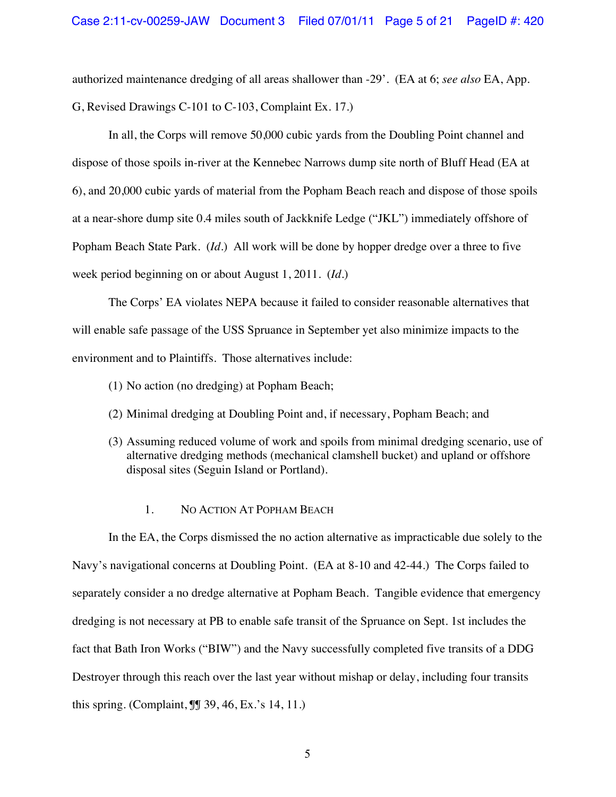authorized maintenance dredging of all areas shallower than -29'. (EA at 6; *see also* EA, App. G, Revised Drawings C-101 to C-103, Complaint Ex. 17.)

In all, the Corps will remove 50,000 cubic yards from the Doubling Point channel and dispose of those spoils in-river at the Kennebec Narrows dump site north of Bluff Head (EA at 6), and 20,000 cubic yards of material from the Popham Beach reach and dispose of those spoils at a near-shore dump site 0.4 miles south of Jackknife Ledge ("JKL") immediately offshore of Popham Beach State Park. (*Id*.) All work will be done by hopper dredge over a three to five week period beginning on or about August 1, 2011. (*Id*.)

The Corps' EA violates NEPA because it failed to consider reasonable alternatives that will enable safe passage of the USS Spruance in September yet also minimize impacts to the environment and to Plaintiffs. Those alternatives include:

- (1) No action (no dredging) at Popham Beach;
- (2) Minimal dredging at Doubling Point and, if necessary, Popham Beach; and
- (3) Assuming reduced volume of work and spoils from minimal dredging scenario, use of alternative dredging methods (mechanical clamshell bucket) and upland or offshore disposal sites (Seguin Island or Portland).

### 1. NO ACTION AT POPHAM BEACH

In the EA, the Corps dismissed the no action alternative as impracticable due solely to the Navy's navigational concerns at Doubling Point. (EA at 8-10 and 42-44.) The Corps failed to separately consider a no dredge alternative at Popham Beach. Tangible evidence that emergency dredging is not necessary at PB to enable safe transit of the Spruance on Sept. 1st includes the fact that Bath Iron Works ("BIW") and the Navy successfully completed five transits of a DDG Destroyer through this reach over the last year without mishap or delay, including four transits this spring. (Complaint, ¶¶ 39, 46, Ex.'s 14, 11.)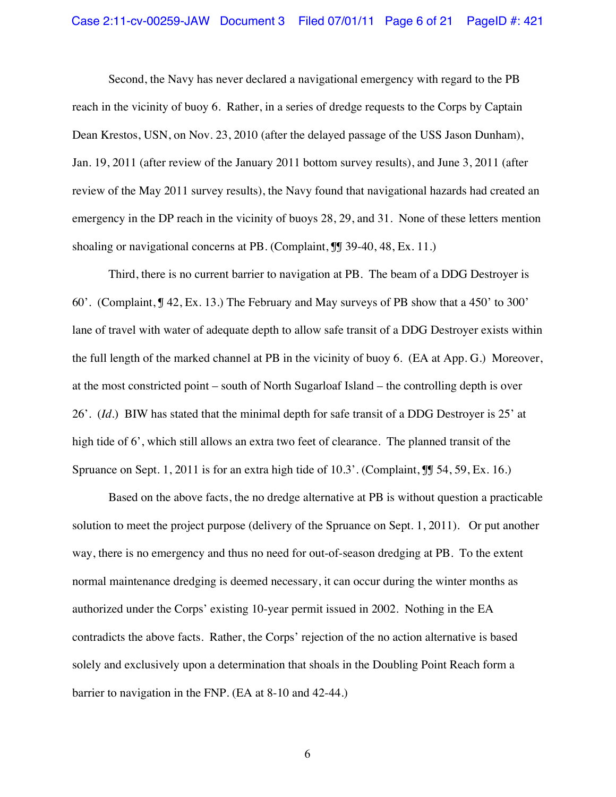#### Case 2:11-cv-00259-JAW Document 3 Filed 07/01/11 Page 6 of 21 PageID #: 421

Second, the Navy has never declared a navigational emergency with regard to the PB reach in the vicinity of buoy 6. Rather, in a series of dredge requests to the Corps by Captain Dean Krestos, USN, on Nov. 23, 2010 (after the delayed passage of the USS Jason Dunham), Jan. 19, 2011 (after review of the January 2011 bottom survey results), and June 3, 2011 (after review of the May 2011 survey results), the Navy found that navigational hazards had created an emergency in the DP reach in the vicinity of buoys 28, 29, and 31. None of these letters mention shoaling or navigational concerns at PB. (Complaint,  $\mathbb{J}$  39-40, 48, Ex. 11.)

Third, there is no current barrier to navigation at PB. The beam of a DDG Destroyer is 60'. (Complaint, ¶ 42, Ex. 13.) The February and May surveys of PB show that a 450' to 300' lane of travel with water of adequate depth to allow safe transit of a DDG Destroyer exists within the full length of the marked channel at PB in the vicinity of buoy 6. (EA at App. G.) Moreover, at the most constricted point – south of North Sugarloaf Island – the controlling depth is over 26'. (*Id*.) BIW has stated that the minimal depth for safe transit of a DDG Destroyer is 25' at high tide of 6', which still allows an extra two feet of clearance. The planned transit of the Spruance on Sept. 1, 2011 is for an extra high tide of 10.3'. (Complaint,  $\mathbb{I}$  54, 59, Ex. 16.)

Based on the above facts, the no dredge alternative at PB is without question a practicable solution to meet the project purpose (delivery of the Spruance on Sept. 1, 2011). Or put another way, there is no emergency and thus no need for out-of-season dredging at PB. To the extent normal maintenance dredging is deemed necessary, it can occur during the winter months as authorized under the Corps' existing 10-year permit issued in 2002. Nothing in the EA contradicts the above facts. Rather, the Corps' rejection of the no action alternative is based solely and exclusively upon a determination that shoals in the Doubling Point Reach form a barrier to navigation in the FNP. (EA at 8-10 and 42-44.)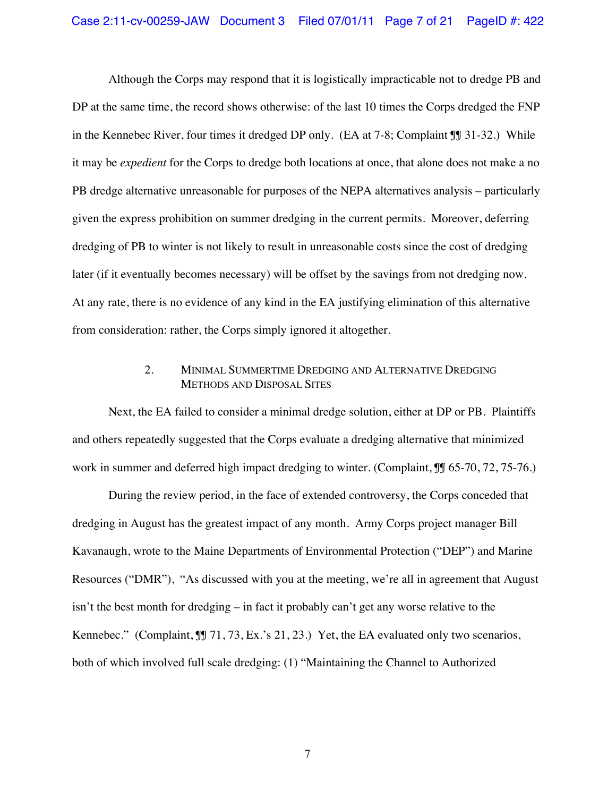Although the Corps may respond that it is logistically impracticable not to dredge PB and DP at the same time, the record shows otherwise: of the last 10 times the Corps dredged the FNP in the Kennebec River, four times it dredged DP only. (EA at 7-8; Complaint ¶¶ 31-32.) While it may be *expedient* for the Corps to dredge both locations at once, that alone does not make a no PB dredge alternative unreasonable for purposes of the NEPA alternatives analysis – particularly given the express prohibition on summer dredging in the current permits. Moreover, deferring dredging of PB to winter is not likely to result in unreasonable costs since the cost of dredging later (if it eventually becomes necessary) will be offset by the savings from not dredging now. At any rate, there is no evidence of any kind in the EA justifying elimination of this alternative from consideration: rather, the Corps simply ignored it altogether.

# 2. MINIMAL SUMMERTIME DREDGING AND ALTERNATIVE DREDGING METHODS AND DISPOSAL SITES

Next, the EA failed to consider a minimal dredge solution, either at DP or PB. Plaintiffs and others repeatedly suggested that the Corps evaluate a dredging alternative that minimized work in summer and deferred high impact dredging to winter. (Complaint,  $\mathbb{J}$  65-70, 72, 75-76.)

During the review period, in the face of extended controversy, the Corps conceded that dredging in August has the greatest impact of any month. Army Corps project manager Bill Kavanaugh, wrote to the Maine Departments of Environmental Protection ("DEP") and Marine Resources ("DMR"), "As discussed with you at the meeting, we're all in agreement that August isn't the best month for dredging – in fact it probably can't get any worse relative to the Kennebec." (Complaint, JJ 71, 73, Ex.'s 21, 23.) Yet, the EA evaluated only two scenarios, both of which involved full scale dredging: (1) "Maintaining the Channel to Authorized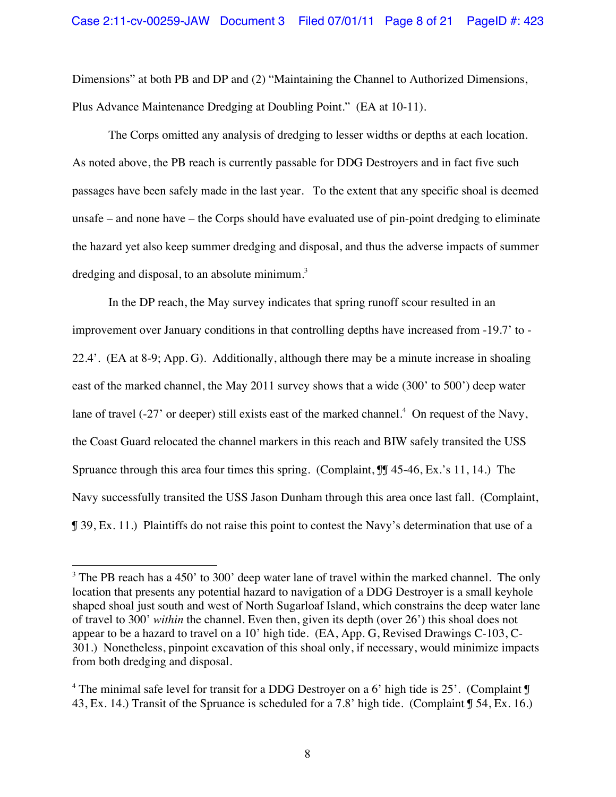Dimensions" at both PB and DP and (2) "Maintaining the Channel to Authorized Dimensions, Plus Advance Maintenance Dredging at Doubling Point." (EA at 10-11).

The Corps omitted any analysis of dredging to lesser widths or depths at each location. As noted above, the PB reach is currently passable for DDG Destroyers and in fact five such passages have been safely made in the last year. To the extent that any specific shoal is deemed unsafe – and none have – the Corps should have evaluated use of pin-point dredging to eliminate the hazard yet also keep summer dredging and disposal, and thus the adverse impacts of summer dredging and disposal, to an absolute minimum.<sup>3</sup>

In the DP reach, the May survey indicates that spring runoff scour resulted in an improvement over January conditions in that controlling depths have increased from -19.7' to - 22.4'. (EA at 8-9; App. G). Additionally, although there may be a minute increase in shoaling east of the marked channel, the May 2011 survey shows that a wide (300' to 500') deep water lane of travel (-27' or deeper) still exists east of the marked channel.<sup>4</sup> On request of the Navy, the Coast Guard relocated the channel markers in this reach and BIW safely transited the USS Spruance through this area four times this spring. (Complaint,  $\mathbb{I}$  45-46, Ex.'s 11, 14.) The Navy successfully transited the USS Jason Dunham through this area once last fall. (Complaint, ¶ 39, Ex. 11.) Plaintiffs do not raise this point to contest the Navy's determination that use of a

!!!!!!!!!!!!!!!!!!!!!!!!!!!!!!!!!!!!!!!!!!!!!!!!!!!!!!!

 $3$  The PB reach has a 450' to 300' deep water lane of travel within the marked channel. The only location that presents any potential hazard to navigation of a DDG Destroyer is a small keyhole shaped shoal just south and west of North Sugarloaf Island, which constrains the deep water lane of travel to 300' *within* the channel. Even then, given its depth (over 26') this shoal does not appear to be a hazard to travel on a 10' high tide. (EA, App. G, Revised Drawings C-103, C-301.) Nonetheless, pinpoint excavation of this shoal only, if necessary, would minimize impacts from both dredging and disposal.

<sup>&</sup>lt;sup>4</sup> The minimal safe level for transit for a DDG Destroyer on a 6' high tide is 25'. (Complaint  $\mathbb{I}$ 43, Ex. 14.) Transit of the Spruance is scheduled for a 7.8' high tide. (Complaint ¶ 54, Ex. 16.)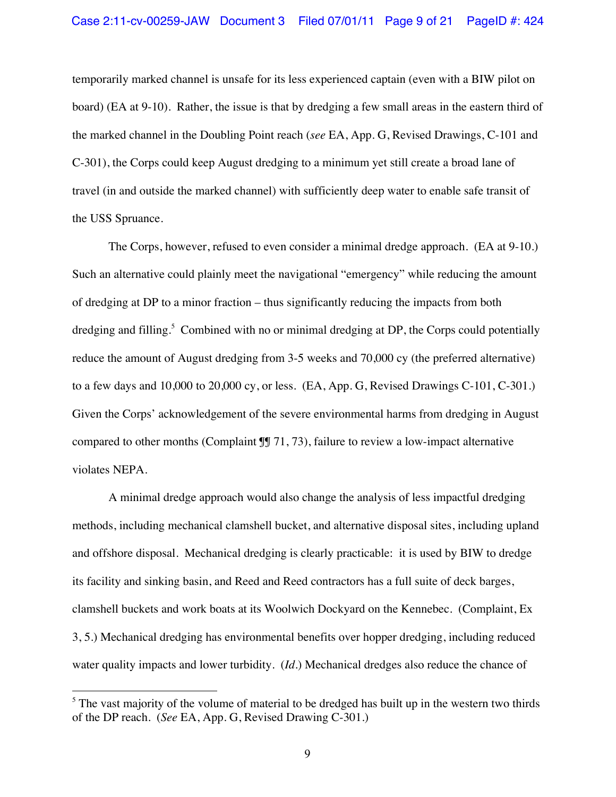temporarily marked channel is unsafe for its less experienced captain (even with a BIW pilot on board) (EA at 9-10). Rather, the issue is that by dredging a few small areas in the eastern third of the marked channel in the Doubling Point reach (*see* EA, App. G, Revised Drawings, C-101 and C-301), the Corps could keep August dredging to a minimum yet still create a broad lane of travel (in and outside the marked channel) with sufficiently deep water to enable safe transit of the USS Spruance.

The Corps, however, refused to even consider a minimal dredge approach. (EA at 9-10.) Such an alternative could plainly meet the navigational "emergency" while reducing the amount of dredging at DP to a minor fraction – thus significantly reducing the impacts from both dredging and filling.<sup>5</sup> Combined with no or minimal dredging at DP, the Corps could potentially reduce the amount of August dredging from 3-5 weeks and 70,000 cy (the preferred alternative) to a few days and 10,000 to 20,000 cy, or less. (EA, App. G, Revised Drawings C-101, C-301.) Given the Corps' acknowledgement of the severe environmental harms from dredging in August compared to other months (Complaint  $\mathbb{I}$  71, 73), failure to review a low-impact alternative violates NEPA.

A minimal dredge approach would also change the analysis of less impactful dredging methods, including mechanical clamshell bucket, and alternative disposal sites, including upland and offshore disposal. Mechanical dredging is clearly practicable: it is used by BIW to dredge its facility and sinking basin, and Reed and Reed contractors has a full suite of deck barges, clamshell buckets and work boats at its Woolwich Dockyard on the Kennebec. (Complaint, Ex 3, 5.) Mechanical dredging has environmental benefits over hopper dredging, including reduced water quality impacts and lower turbidity. (*Id*.) Mechanical dredges also reduce the chance of

!!!!!!!!!!!!!!!!!!!!!!!!!!!!!!!!!!!!!!!!!!!!!!!!!!!!!!!

 $<sup>5</sup>$  The vast majority of the volume of material to be dredged has built up in the western two thirds</sup> of the DP reach. (*See* EA, App. G, Revised Drawing C-301.)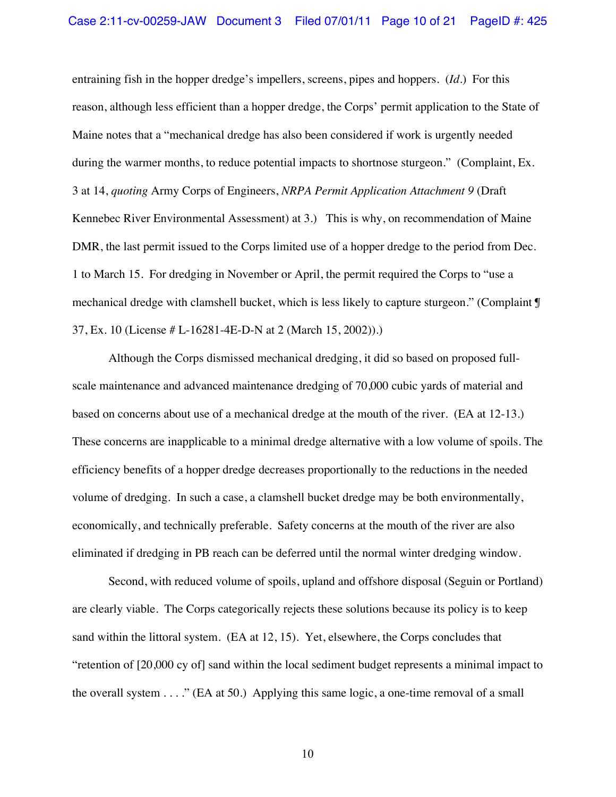entraining fish in the hopper dredge's impellers, screens, pipes and hoppers. (*Id*.) For this reason, although less efficient than a hopper dredge, the Corps' permit application to the State of Maine notes that a "mechanical dredge has also been considered if work is urgently needed during the warmer months, to reduce potential impacts to shortnose sturgeon." (Complaint, Ex. 3 at 14, *quoting* Army Corps of Engineers, *NRPA Permit Application Attachment 9* (Draft Kennebec River Environmental Assessment) at 3.) This is why, on recommendation of Maine DMR, the last permit issued to the Corps limited use of a hopper dredge to the period from Dec. 1 to March 15. For dredging in November or April, the permit required the Corps to "use a mechanical dredge with clamshell bucket, which is less likely to capture sturgeon." (Complaint ¶ 37, Ex. 10 (License # L-16281-4E-D-N at 2 (March 15, 2002)).)

Although the Corps dismissed mechanical dredging, it did so based on proposed fullscale maintenance and advanced maintenance dredging of 70,000 cubic yards of material and based on concerns about use of a mechanical dredge at the mouth of the river. (EA at 12-13.) These concerns are inapplicable to a minimal dredge alternative with a low volume of spoils. The efficiency benefits of a hopper dredge decreases proportionally to the reductions in the needed volume of dredging. In such a case, a clamshell bucket dredge may be both environmentally, economically, and technically preferable. Safety concerns at the mouth of the river are also eliminated if dredging in PB reach can be deferred until the normal winter dredging window.

Second, with reduced volume of spoils, upland and offshore disposal (Seguin or Portland) are clearly viable. The Corps categorically rejects these solutions because its policy is to keep sand within the littoral system. (EA at 12, 15). Yet, elsewhere, the Corps concludes that "retention of [20,000 cy of] sand within the local sediment budget represents a minimal impact to the overall system  $\dots$ ." (EA at 50.) Applying this same logic, a one-time removal of a small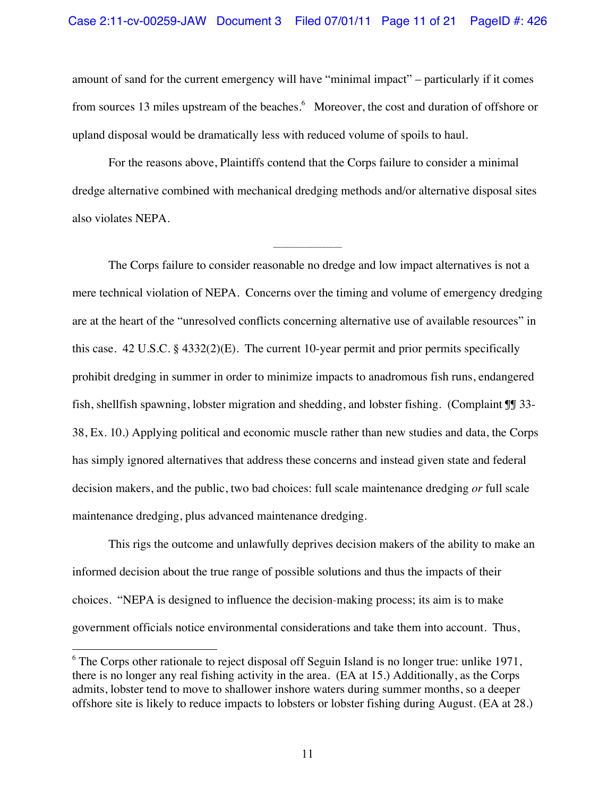amount of sand for the current emergency will have "minimal impact" – particularly if it comes from sources 13 miles upstream of the beaches.<sup>6</sup> Moreover, the cost and duration of offshore or upland disposal would be dramatically less with reduced volume of spoils to haul.

For the reasons above, Plaintiffs contend that the Corps failure to consider a minimal dredge alternative combined with mechanical dredging methods and/or alternative disposal sites also violates NEPA.

\_\_\_\_\_\_\_\_\_\_\_\_\_\_\_\_\_

The Corps failure to consider reasonable no dredge and low impact alternatives is not a mere technical violation of NEPA. Concerns over the timing and volume of emergency dredging are at the heart of the "unresolved conflicts concerning alternative use of available resources" in this case. 42 U.S.C. § 4332(2)(E). The current 10-year permit and prior permits specifically prohibit dredging in summer in order to minimize impacts to anadromous fish runs, endangered fish, shellfish spawning, lobster migration and shedding, and lobster fishing. (Complaint ¶¶ 33- 38, Ex. 10.) Applying political and economic muscle rather than new studies and data, the Corps has simply ignored alternatives that address these concerns and instead given state and federal decision makers, and the public, two bad choices: full scale maintenance dredging *or* full scale maintenance dredging, plus advanced maintenance dredging.

This rigs the outcome and unlawfully deprives decision makers of the ability to make an informed decision about the true range of possible solutions and thus the impacts of their choices. "NEPA is designed to influence the decision-making process; its aim is to make government officials notice environmental considerations and take them into account. Thus,

!!!!!!!!!!!!!!!!!!!!!!!!!!!!!!!!!!!!!!!!!!!!!!!!!!!!!!!

 $6$  The Corps other rationale to reject disposal off Seguin Island is no longer true: unlike 1971, there is no longer any real fishing activity in the area. (EA at 15.) Additionally, as the Corps admits, lobster tend to move to shallower inshore waters during summer months, so a deeper offshore site is likely to reduce impacts to lobsters or lobster fishing during August. (EA at 28.)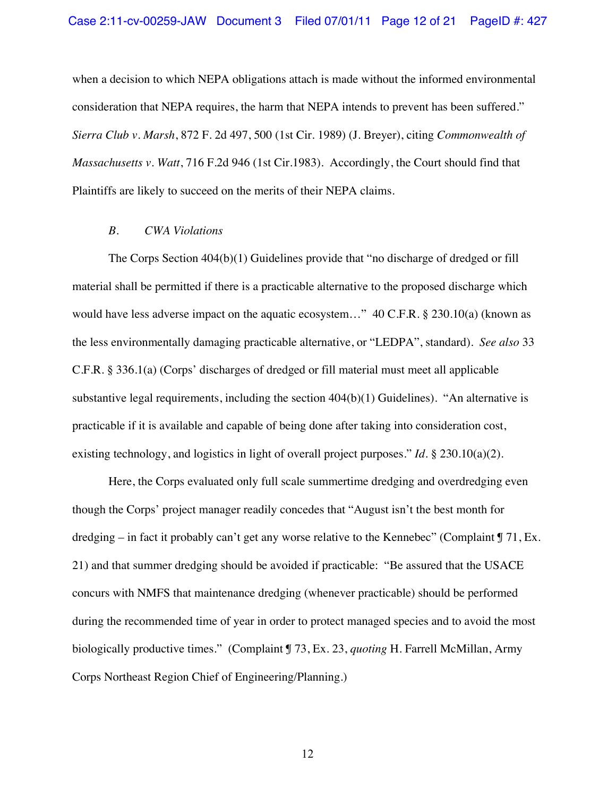when a decision to which NEPA obligations attach is made without the informed environmental consideration that NEPA requires, the harm that NEPA intends to prevent has been suffered." *Sierra Club v. Marsh*, 872 F. 2d 497, 500 (1st Cir. 1989) (J. Breyer), citing *Commonwealth of Massachusetts v. Watt*, 716 F.2d 946 (1st Cir.1983). Accordingly, the Court should find that Plaintiffs are likely to succeed on the merits of their NEPA claims.

### *B. CWA Violations*

The Corps Section 404(b)(1) Guidelines provide that "no discharge of dredged or fill material shall be permitted if there is a practicable alternative to the proposed discharge which would have less adverse impact on the aquatic ecosystem..." 40 C.F.R. § 230.10(a) (known as the less environmentally damaging practicable alternative, or "LEDPA", standard). *See also* 33 C.F.R. § 336.1(a) (Corps' discharges of dredged or fill material must meet all applicable substantive legal requirements, including the section 404(b)(1) Guidelines). "An alternative is practicable if it is available and capable of being done after taking into consideration cost, existing technology, and logistics in light of overall project purposes." *Id*. § 230.10(a)(2).

Here, the Corps evaluated only full scale summertime dredging and overdredging even though the Corps' project manager readily concedes that "August isn't the best month for dredging – in fact it probably can't get any worse relative to the Kennebec" (Complaint  $\P$  71, Ex. 21) and that summer dredging should be avoided if practicable: "Be assured that the USACE concurs with NMFS that maintenance dredging (whenever practicable) should be performed during the recommended time of year in order to protect managed species and to avoid the most biologically productive times." (Complaint ¶ 73, Ex. 23, *quoting* H. Farrell McMillan, Army Corps Northeast Region Chief of Engineering/Planning.)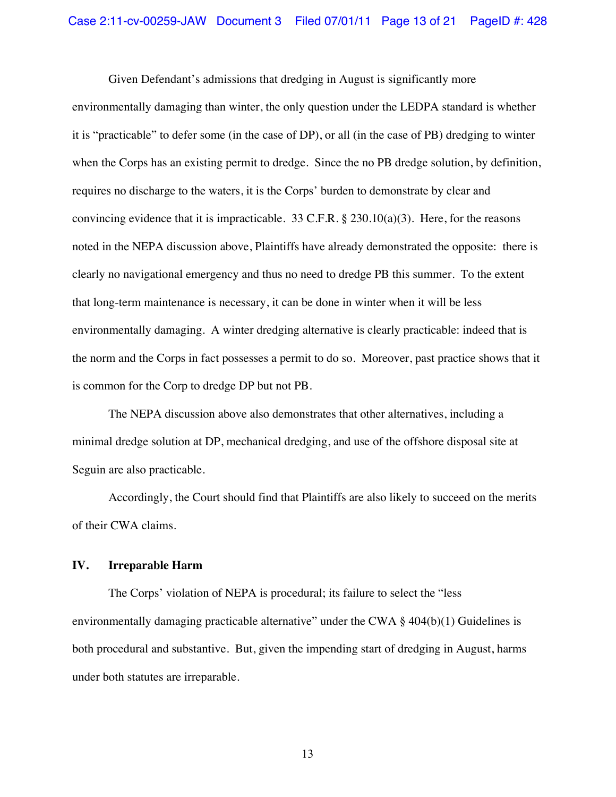Given Defendant's admissions that dredging in August is significantly more environmentally damaging than winter, the only question under the LEDPA standard is whether it is "practicable" to defer some (in the case of DP), or all (in the case of PB) dredging to winter when the Corps has an existing permit to dredge. Since the no PB dredge solution, by definition, requires no discharge to the waters, it is the Corps' burden to demonstrate by clear and convincing evidence that it is impracticable. 33 C.F.R.  $\S$  230.10(a)(3). Here, for the reasons noted in the NEPA discussion above, Plaintiffs have already demonstrated the opposite: there is clearly no navigational emergency and thus no need to dredge PB this summer. To the extent that long-term maintenance is necessary, it can be done in winter when it will be less environmentally damaging. A winter dredging alternative is clearly practicable: indeed that is the norm and the Corps in fact possesses a permit to do so. Moreover, past practice shows that it is common for the Corp to dredge DP but not PB.

The NEPA discussion above also demonstrates that other alternatives, including a minimal dredge solution at DP, mechanical dredging, and use of the offshore disposal site at Seguin are also practicable.

Accordingly, the Court should find that Plaintiffs are also likely to succeed on the merits of their CWA claims.

### **IV. Irreparable Harm**

The Corps' violation of NEPA is procedural; its failure to select the "less environmentally damaging practicable alternative" under the CWA § 404(b)(1) Guidelines is both procedural and substantive. But, given the impending start of dredging in August, harms under both statutes are irreparable.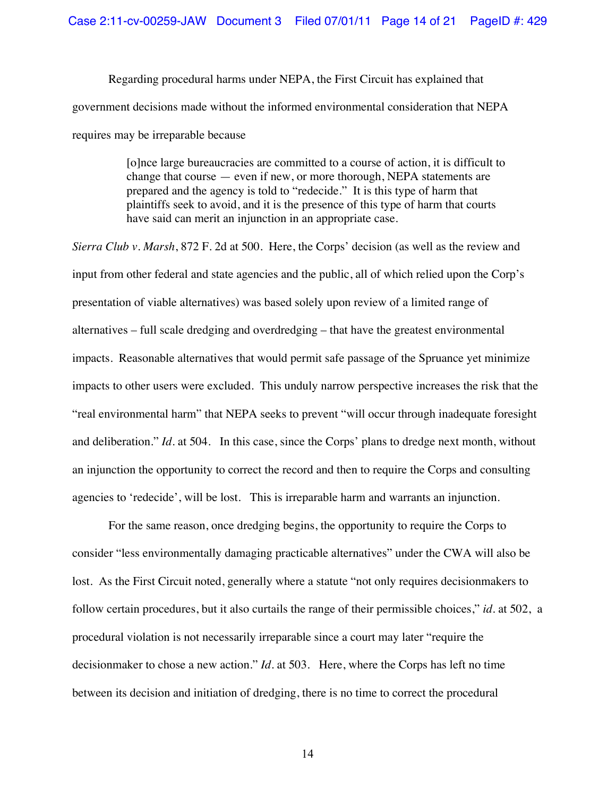Regarding procedural harms under NEPA, the First Circuit has explained that government decisions made without the informed environmental consideration that NEPA requires may be irreparable because

> [o]nce large bureaucracies are committed to a course of action, it is difficult to change that course — even if new, or more thorough, NEPA statements are prepared and the agency is told to "redecide." It is this type of harm that plaintiffs seek to avoid, and it is the presence of this type of harm that courts have said can merit an injunction in an appropriate case.

*Sierra Club v. Marsh*, 872 F. 2d at 500. Here, the Corps' decision (as well as the review and input from other federal and state agencies and the public, all of which relied upon the Corp's presentation of viable alternatives) was based solely upon review of a limited range of alternatives – full scale dredging and overdredging – that have the greatest environmental impacts. Reasonable alternatives that would permit safe passage of the Spruance yet minimize impacts to other users were excluded. This unduly narrow perspective increases the risk that the "real environmental harm" that NEPA seeks to prevent "will occur through inadequate foresight and deliberation." *Id*. at 504. In this case, since the Corps' plans to dredge next month, without an injunction the opportunity to correct the record and then to require the Corps and consulting agencies to 'redecide', will be lost. This is irreparable harm and warrants an injunction.

For the same reason, once dredging begins, the opportunity to require the Corps to consider "less environmentally damaging practicable alternatives" under the CWA will also be lost. As the First Circuit noted, generally where a statute "not only requires decisionmakers to follow certain procedures, but it also curtails the range of their permissible choices," *id*. at 502, a procedural violation is not necessarily irreparable since a court may later "require the decisionmaker to chose a new action." *Id*. at 503. Here, where the Corps has left no time between its decision and initiation of dredging, there is no time to correct the procedural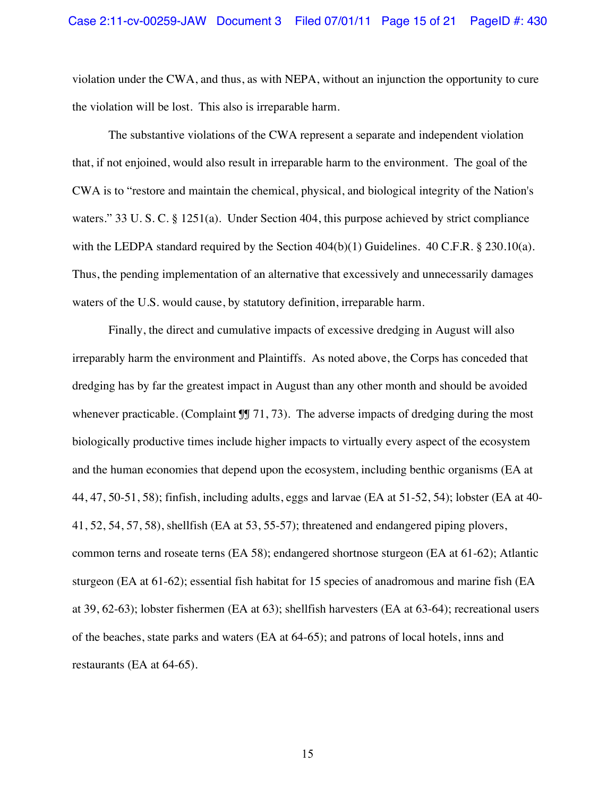violation under the CWA, and thus, as with NEPA, without an injunction the opportunity to cure the violation will be lost. This also is irreparable harm.

The substantive violations of the CWA represent a separate and independent violation that, if not enjoined, would also result in irreparable harm to the environment. The goal of the CWA is to "restore and maintain the chemical, physical, and biological integrity of the Nation's waters." 33 U. S. C. § 1251(a). Under Section 404, this purpose achieved by strict compliance with the LEDPA standard required by the Section  $404(b)(1)$  Guidelines.  $40$  C.F.R. § 230.10(a). Thus, the pending implementation of an alternative that excessively and unnecessarily damages waters of the U.S. would cause, by statutory definition, irreparable harm.

Finally, the direct and cumulative impacts of excessive dredging in August will also irreparably harm the environment and Plaintiffs. As noted above, the Corps has conceded that dredging has by far the greatest impact in August than any other month and should be avoided whenever practicable. (Complaint  $\mathbb{II}$  71, 73). The adverse impacts of dredging during the most biologically productive times include higher impacts to virtually every aspect of the ecosystem and the human economies that depend upon the ecosystem, including benthic organisms (EA at 44, 47, 50-51, 58); finfish, including adults, eggs and larvae (EA at 51-52, 54); lobster (EA at 40- 41, 52, 54, 57, 58), shellfish (EA at 53, 55-57); threatened and endangered piping plovers, common terns and roseate terns (EA 58); endangered shortnose sturgeon (EA at 61-62); Atlantic sturgeon (EA at 61-62); essential fish habitat for 15 species of anadromous and marine fish (EA at 39, 62-63); lobster fishermen (EA at 63); shellfish harvesters (EA at 63-64); recreational users of the beaches, state parks and waters (EA at 64-65); and patrons of local hotels, inns and restaurants (EA at 64-65).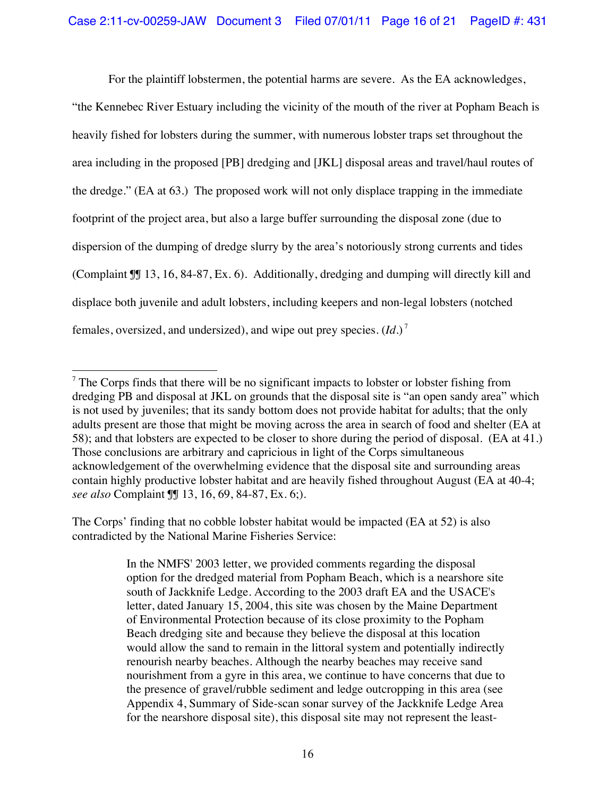For the plaintiff lobstermen, the potential harms are severe. As the EA acknowledges,

"the Kennebec River Estuary including the vicinity of the mouth of the river at Popham Beach is heavily fished for lobsters during the summer, with numerous lobster traps set throughout the area including in the proposed [PB] dredging and [JKL] disposal areas and travel/haul routes of the dredge." (EA at 63.) The proposed work will not only displace trapping in the immediate footprint of the project area, but also a large buffer surrounding the disposal zone (due to dispersion of the dumping of dredge slurry by the area's notoriously strong currents and tides (Complaint ¶¶ 13, 16, 84-87, Ex. 6). Additionally, dredging and dumping will directly kill and displace both juvenile and adult lobsters, including keepers and non-legal lobsters (notched females, oversized, and undersized), and wipe out prey species. (*Id*.) <sup>7</sup>

The Corps' finding that no cobble lobster habitat would be impacted (EA at 52) is also contradicted by the National Marine Fisheries Service:

> In the NMFS' 2003 letter, we provided comments regarding the disposal option for the dredged material from Popham Beach, which is a nearshore site south of Jackknife Ledge. According to the 2003 draft EA and the USACE's letter, dated January 15, 2004, this site was chosen by the Maine Department of Environmental Protection because of its close proximity to the Popham Beach dredging site and because they believe the disposal at this location would allow the sand to remain in the littoral system and potentially indirectly renourish nearby beaches. Although the nearby beaches may receive sand nourishment from a gyre in this area, we continue to have concerns that due to the presence of gravel/rubble sediment and ledge outcropping in this area (see Appendix 4, Summary of Side-scan sonar survey of the Jackknife Ledge Area for the nearshore disposal site), this disposal site may not represent the least-

<sup>!!!!!!!!!!!!!!!!!!!!!!!!!!!!!!!!!!!!!!!!!!!!!!!!!!!!!!!</sup>  $7$  The Corps finds that there will be no significant impacts to lobster or lobster fishing from dredging PB and disposal at JKL on grounds that the disposal site is "an open sandy area" which is not used by juveniles; that its sandy bottom does not provide habitat for adults; that the only adults present are those that might be moving across the area in search of food and shelter (EA at 58); and that lobsters are expected to be closer to shore during the period of disposal. (EA at 41.) Those conclusions are arbitrary and capricious in light of the Corps simultaneous acknowledgement of the overwhelming evidence that the disposal site and surrounding areas contain highly productive lobster habitat and are heavily fished throughout August (EA at 40-4; *see also* Complaint ¶¶ 13, 16, 69, 84-87, Ex. 6;).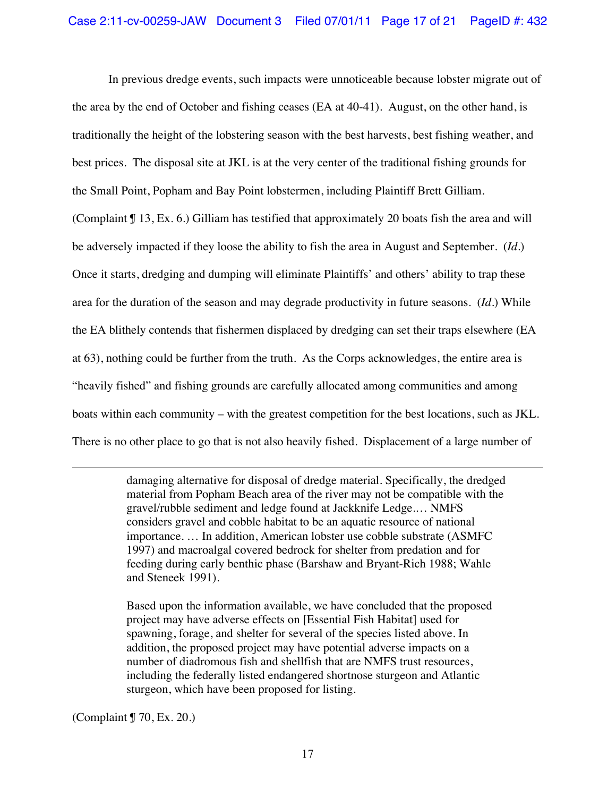In previous dredge events, such impacts were unnoticeable because lobster migrate out of the area by the end of October and fishing ceases (EA at 40-41). August, on the other hand, is traditionally the height of the lobstering season with the best harvests, best fishing weather, and best prices. The disposal site at JKL is at the very center of the traditional fishing grounds for the Small Point, Popham and Bay Point lobstermen, including Plaintiff Brett Gilliam. (Complaint ¶ 13, Ex. 6.) Gilliam has testified that approximately 20 boats fish the area and will be adversely impacted if they loose the ability to fish the area in August and September. (*Id*.) Once it starts, dredging and dumping will eliminate Plaintiffs' and others' ability to trap these

area for the duration of the season and may degrade productivity in future seasons. (*Id*.) While

the EA blithely contends that fishermen displaced by dredging can set their traps elsewhere (EA

at 63), nothing could be further from the truth. As the Corps acknowledges, the entire area is

"heavily fished" and fishing grounds are carefully allocated among communities and among

boats within each community – with the greatest competition for the best locations, such as JKL.

There is no other place to go that is not also heavily fished. Displacement of a large number of

!!!!!!!!!!!!!!!!!!!!!!!!!!!!!!!!!!!!!!!!!!!!!!!!!!!!!!!!!!!!!!!!!!!!!!!!!!!!!!!!!!!!!!!!!!!!!!!!!!!!!!!!!!!!!!!!!!!!!!!!!!!!!!!!!!!!!!!!!!!!!!!!!!!!!!!!!!!!!!!!!!!!!!!!!!!!!!!!!!

damaging alternative for disposal of dredge material. Specifically, the dredged material from Popham Beach area of the river may not be compatible with the gravel/rubble sediment and ledge found at Jackknife Ledge.… NMFS considers gravel and cobble habitat to be an aquatic resource of national importance. … In addition, American lobster use cobble substrate (ASMFC 1997) and macroalgal covered bedrock for shelter from predation and for feeding during early benthic phase (Barshaw and Bryant-Rich 1988; Wahle and Steneek 1991).

Based upon the information available, we have concluded that the proposed project may have adverse effects on [Essential Fish Habitat] used for spawning, forage, and shelter for several of the species listed above. In addition, the proposed project may have potential adverse impacts on a number of diadromous fish and shellfish that are NMFS trust resources, including the federally listed endangered shortnose sturgeon and Atlantic sturgeon, which have been proposed for listing.

(Complaint ¶ 70, Ex. 20.)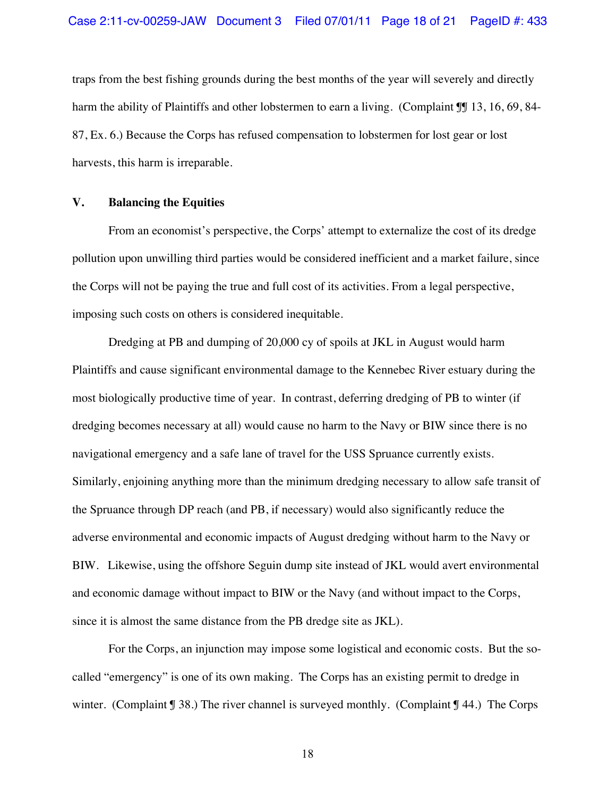traps from the best fishing grounds during the best months of the year will severely and directly harm the ability of Plaintiffs and other lobstermen to earn a living. (Complaint II 13, 16, 69, 84-87, Ex. 6.) Because the Corps has refused compensation to lobstermen for lost gear or lost harvests, this harm is irreparable.

#### **V. Balancing the Equities**

From an economist's perspective, the Corps' attempt to externalize the cost of its dredge pollution upon unwilling third parties would be considered inefficient and a market failure, since the Corps will not be paying the true and full cost of its activities. From a legal perspective, imposing such costs on others is considered inequitable.

Dredging at PB and dumping of 20,000 cy of spoils at JKL in August would harm Plaintiffs and cause significant environmental damage to the Kennebec River estuary during the most biologically productive time of year. In contrast, deferring dredging of PB to winter (if dredging becomes necessary at all) would cause no harm to the Navy or BIW since there is no navigational emergency and a safe lane of travel for the USS Spruance currently exists. Similarly, enjoining anything more than the minimum dredging necessary to allow safe transit of the Spruance through DP reach (and PB, if necessary) would also significantly reduce the adverse environmental and economic impacts of August dredging without harm to the Navy or BIW. Likewise, using the offshore Seguin dump site instead of JKL would avert environmental and economic damage without impact to BIW or the Navy (and without impact to the Corps, since it is almost the same distance from the PB dredge site as JKL).

For the Corps, an injunction may impose some logistical and economic costs. But the socalled "emergency" is one of its own making. The Corps has an existing permit to dredge in winter. (Complaint  $\sqrt{38}$ .) The river channel is surveyed monthly. (Complaint  $\sqrt{34}$ .) The Corps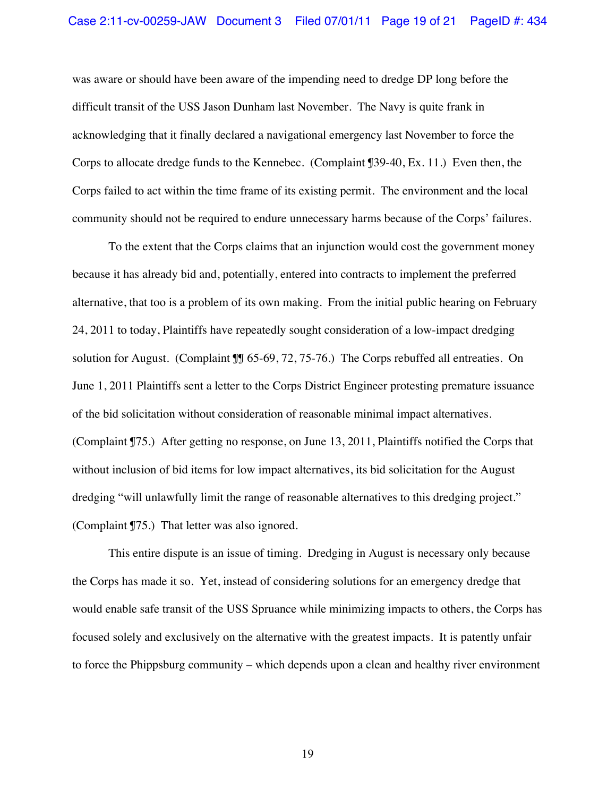was aware or should have been aware of the impending need to dredge DP long before the difficult transit of the USS Jason Dunham last November. The Navy is quite frank in acknowledging that it finally declared a navigational emergency last November to force the Corps to allocate dredge funds to the Kennebec. (Complaint ¶39-40, Ex. 11.) Even then, the Corps failed to act within the time frame of its existing permit. The environment and the local community should not be required to endure unnecessary harms because of the Corps' failures.

To the extent that the Corps claims that an injunction would cost the government money because it has already bid and, potentially, entered into contracts to implement the preferred alternative, that too is a problem of its own making. From the initial public hearing on February 24, 2011 to today, Plaintiffs have repeatedly sought consideration of a low-impact dredging solution for August. (Complaint ¶¶ 65-69, 72, 75-76.) The Corps rebuffed all entreaties. On June 1, 2011 Plaintiffs sent a letter to the Corps District Engineer protesting premature issuance of the bid solicitation without consideration of reasonable minimal impact alternatives. (Complaint ¶75.) After getting no response, on June 13, 2011, Plaintiffs notified the Corps that without inclusion of bid items for low impact alternatives, its bid solicitation for the August dredging "will unlawfully limit the range of reasonable alternatives to this dredging project." (Complaint ¶75.) That letter was also ignored.

This entire dispute is an issue of timing. Dredging in August is necessary only because the Corps has made it so. Yet, instead of considering solutions for an emergency dredge that would enable safe transit of the USS Spruance while minimizing impacts to others, the Corps has focused solely and exclusively on the alternative with the greatest impacts. It is patently unfair to force the Phippsburg community – which depends upon a clean and healthy river environment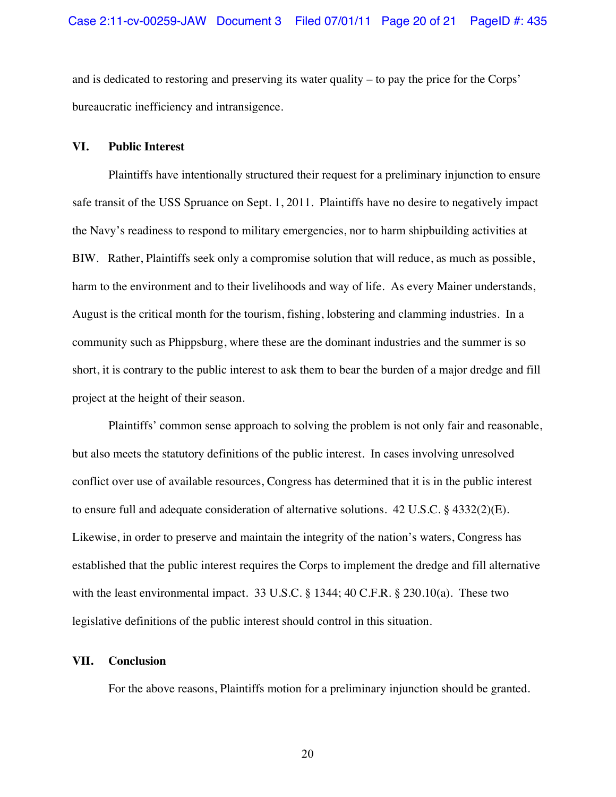and is dedicated to restoring and preserving its water quality – to pay the price for the Corps' bureaucratic inefficiency and intransigence.

#### **VI. Public Interest**

Plaintiffs have intentionally structured their request for a preliminary injunction to ensure safe transit of the USS Spruance on Sept. 1, 2011. Plaintiffs have no desire to negatively impact the Navy's readiness to respond to military emergencies, nor to harm shipbuilding activities at BIW. Rather, Plaintiffs seek only a compromise solution that will reduce, as much as possible, harm to the environment and to their livelihoods and way of life. As every Mainer understands, August is the critical month for the tourism, fishing, lobstering and clamming industries. In a community such as Phippsburg, where these are the dominant industries and the summer is so short, it is contrary to the public interest to ask them to bear the burden of a major dredge and fill project at the height of their season.

Plaintiffs' common sense approach to solving the problem is not only fair and reasonable, but also meets the statutory definitions of the public interest. In cases involving unresolved conflict over use of available resources, Congress has determined that it is in the public interest to ensure full and adequate consideration of alternative solutions. 42 U.S.C. § 4332(2)(E). Likewise, in order to preserve and maintain the integrity of the nation's waters, Congress has established that the public interest requires the Corps to implement the dredge and fill alternative with the least environmental impact. 33 U.S.C. § 1344; 40 C.F.R. § 230.10(a). These two legislative definitions of the public interest should control in this situation.

### **VII. Conclusion**

For the above reasons, Plaintiffs motion for a preliminary injunction should be granted.